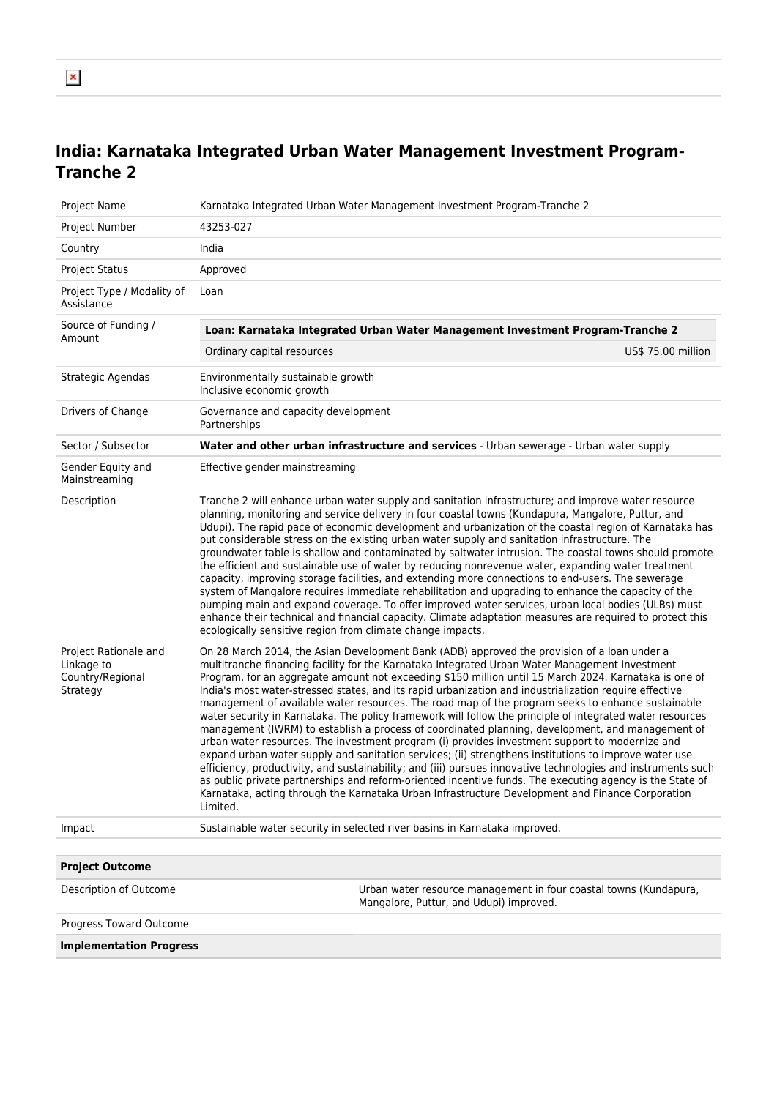## **India: Karnataka Integrated Urban Water Management Investment Program-Tranche 2**

| Project Name                                                        | Karnataka Integrated Urban Water Management Investment Program-Tranche 2                                                                                                                                                                                                                                                                                                                                                                                                                                                                                                                                                                                                                                                                                                                                                                                                                                                                                                                                                                                                                                                                                                                                                                                                                      |  |
|---------------------------------------------------------------------|-----------------------------------------------------------------------------------------------------------------------------------------------------------------------------------------------------------------------------------------------------------------------------------------------------------------------------------------------------------------------------------------------------------------------------------------------------------------------------------------------------------------------------------------------------------------------------------------------------------------------------------------------------------------------------------------------------------------------------------------------------------------------------------------------------------------------------------------------------------------------------------------------------------------------------------------------------------------------------------------------------------------------------------------------------------------------------------------------------------------------------------------------------------------------------------------------------------------------------------------------------------------------------------------------|--|
| Project Number                                                      | 43253-027                                                                                                                                                                                                                                                                                                                                                                                                                                                                                                                                                                                                                                                                                                                                                                                                                                                                                                                                                                                                                                                                                                                                                                                                                                                                                     |  |
| Country                                                             | India                                                                                                                                                                                                                                                                                                                                                                                                                                                                                                                                                                                                                                                                                                                                                                                                                                                                                                                                                                                                                                                                                                                                                                                                                                                                                         |  |
| <b>Project Status</b>                                               | Approved                                                                                                                                                                                                                                                                                                                                                                                                                                                                                                                                                                                                                                                                                                                                                                                                                                                                                                                                                                                                                                                                                                                                                                                                                                                                                      |  |
| Project Type / Modality of<br>Assistance                            | Loan                                                                                                                                                                                                                                                                                                                                                                                                                                                                                                                                                                                                                                                                                                                                                                                                                                                                                                                                                                                                                                                                                                                                                                                                                                                                                          |  |
| Source of Funding /                                                 | Loan: Karnataka Integrated Urban Water Management Investment Program-Tranche 2                                                                                                                                                                                                                                                                                                                                                                                                                                                                                                                                                                                                                                                                                                                                                                                                                                                                                                                                                                                                                                                                                                                                                                                                                |  |
| Amount                                                              | Ordinary capital resources<br>US\$ 75.00 million                                                                                                                                                                                                                                                                                                                                                                                                                                                                                                                                                                                                                                                                                                                                                                                                                                                                                                                                                                                                                                                                                                                                                                                                                                              |  |
| Strategic Agendas                                                   | Environmentally sustainable growth<br>Inclusive economic growth                                                                                                                                                                                                                                                                                                                                                                                                                                                                                                                                                                                                                                                                                                                                                                                                                                                                                                                                                                                                                                                                                                                                                                                                                               |  |
| Drivers of Change                                                   | Governance and capacity development<br>Partnerships                                                                                                                                                                                                                                                                                                                                                                                                                                                                                                                                                                                                                                                                                                                                                                                                                                                                                                                                                                                                                                                                                                                                                                                                                                           |  |
| Sector / Subsector                                                  | Water and other urban infrastructure and services - Urban sewerage - Urban water supply                                                                                                                                                                                                                                                                                                                                                                                                                                                                                                                                                                                                                                                                                                                                                                                                                                                                                                                                                                                                                                                                                                                                                                                                       |  |
| Gender Equity and<br>Mainstreaming                                  | Effective gender mainstreaming                                                                                                                                                                                                                                                                                                                                                                                                                                                                                                                                                                                                                                                                                                                                                                                                                                                                                                                                                                                                                                                                                                                                                                                                                                                                |  |
| Description                                                         | Tranche 2 will enhance urban water supply and sanitation infrastructure; and improve water resource<br>planning, monitoring and service delivery in four coastal towns (Kundapura, Mangalore, Puttur, and<br>Udupi). The rapid pace of economic development and urbanization of the coastal region of Karnataka has<br>put considerable stress on the existing urban water supply and sanitation infrastructure. The<br>groundwater table is shallow and contaminated by saltwater intrusion. The coastal towns should promote<br>the efficient and sustainable use of water by reducing nonrevenue water, expanding water treatment<br>capacity, improving storage facilities, and extending more connections to end-users. The sewerage<br>system of Mangalore requires immediate rehabilitation and upgrading to enhance the capacity of the<br>pumping main and expand coverage. To offer improved water services, urban local bodies (ULBs) must<br>enhance their technical and financial capacity. Climate adaptation measures are required to protect this<br>ecologically sensitive region from climate change impacts.                                                                                                                                                               |  |
| Project Rationale and<br>Linkage to<br>Country/Regional<br>Strategy | On 28 March 2014, the Asian Development Bank (ADB) approved the provision of a loan under a<br>multitranche financing facility for the Karnataka Integrated Urban Water Management Investment<br>Program, for an aggregate amount not exceeding \$150 million until 15 March 2024. Karnataka is one of<br>India's most water-stressed states, and its rapid urbanization and industrialization require effective<br>management of available water resources. The road map of the program seeks to enhance sustainable<br>water security in Karnataka. The policy framework will follow the principle of integrated water resources<br>management (IWRM) to establish a process of coordinated planning, development, and management of<br>urban water resources. The investment program (i) provides investment support to modernize and<br>expand urban water supply and sanitation services; (ii) strengthens institutions to improve water use<br>efficiency, productivity, and sustainability; and (iii) pursues innovative technologies and instruments such<br>as public private partnerships and reform-oriented incentive funds. The executing agency is the State of<br>Karnataka, acting through the Karnataka Urban Infrastructure Development and Finance Corporation<br>Limited. |  |
| Impact                                                              | Sustainable water security in selected river basins in Karnataka improved.                                                                                                                                                                                                                                                                                                                                                                                                                                                                                                                                                                                                                                                                                                                                                                                                                                                                                                                                                                                                                                                                                                                                                                                                                    |  |
|                                                                     |                                                                                                                                                                                                                                                                                                                                                                                                                                                                                                                                                                                                                                                                                                                                                                                                                                                                                                                                                                                                                                                                                                                                                                                                                                                                                               |  |
| <b>Project Outcome</b>                                              |                                                                                                                                                                                                                                                                                                                                                                                                                                                                                                                                                                                                                                                                                                                                                                                                                                                                                                                                                                                                                                                                                                                                                                                                                                                                                               |  |
| Description of Outcome                                              | Urban water resource management in four coastal towns (Kundapura,<br>Mangalore, Puttur, and Udupi) improved.                                                                                                                                                                                                                                                                                                                                                                                                                                                                                                                                                                                                                                                                                                                                                                                                                                                                                                                                                                                                                                                                                                                                                                                  |  |
| Progress Toward Outcome                                             |                                                                                                                                                                                                                                                                                                                                                                                                                                                                                                                                                                                                                                                                                                                                                                                                                                                                                                                                                                                                                                                                                                                                                                                                                                                                                               |  |
| <b>Implementation Progress</b>                                      |                                                                                                                                                                                                                                                                                                                                                                                                                                                                                                                                                                                                                                                                                                                                                                                                                                                                                                                                                                                                                                                                                                                                                                                                                                                                                               |  |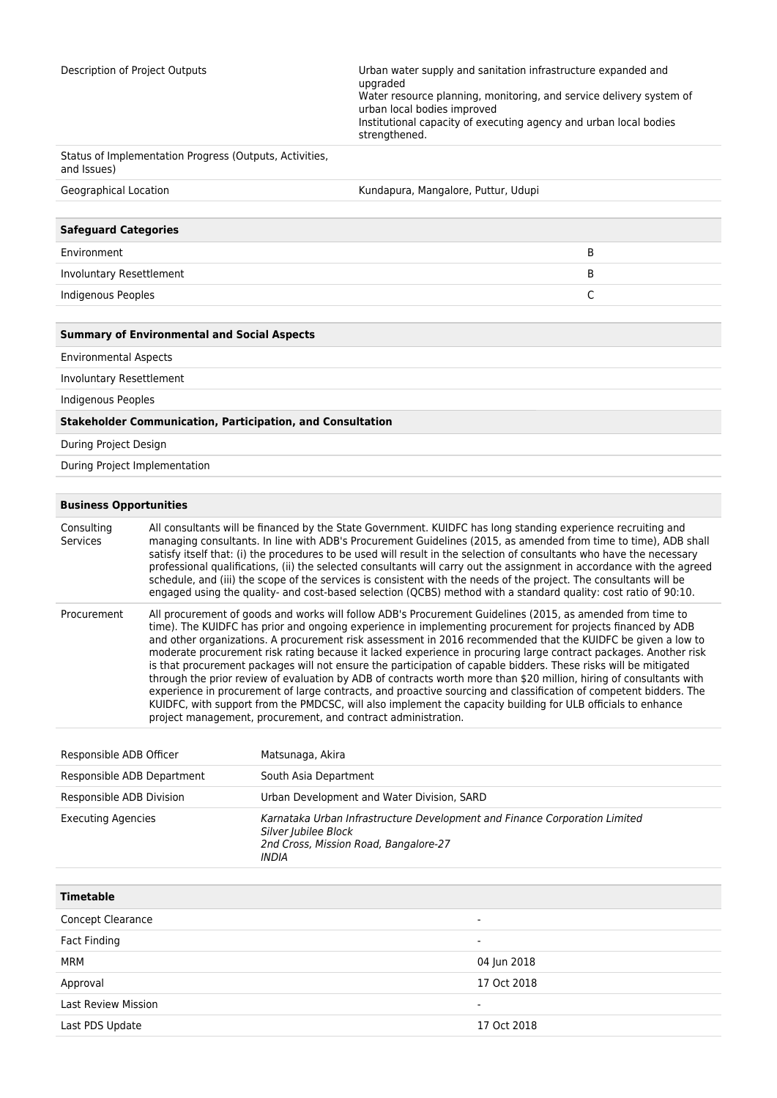Description of Project Outputs Urban water supply and sanitation infrastructure expanded and upgraded Water resource planning, monitoring, and service delivery system of urban local bodies improved Institutional capacity of executing agency and urban local bodies strengthened.

| Status of Implementation Progress (Outputs, Activities,<br>and Issues) |                                     |   |  |
|------------------------------------------------------------------------|-------------------------------------|---|--|
| Geographical Location                                                  | Kundapura, Mangalore, Puttur, Udupi |   |  |
|                                                                        |                                     |   |  |
| <b>Safeguard Categories</b>                                            |                                     |   |  |
| Environment                                                            |                                     | B |  |
| Involuntary Resettlement                                               |                                     | B |  |
| Indigenous Peoples                                                     |                                     | C |  |
|                                                                        |                                     |   |  |
| <b>Summary of Environmental and Social Aspects</b>                     |                                     |   |  |
| Experience and the late of the second state.                           |                                     |   |  |

Environmental Aspects

Involuntary Resettlement

Indigenous Peoples

## **Stakeholder Communication, Participation, and Consultation**

During Project Design

During Project Implementation

## **Business Opportunities**

| Consulting<br>Services | All consultants will be financed by the State Government. KUIDFC has long standing experience recruiting and<br>managing consultants. In line with ADB's Procurement Guidelines (2015, as amended from time to time), ADB shall<br>satisfy itself that: (i) the procedures to be used will result in the selection of consultants who have the necessary<br>professional qualifications, (ii) the selected consultants will carry out the assignment in accordance with the agreed<br>schedule, and (iii) the scope of the services is consistent with the needs of the project. The consultants will be<br>engaged using the quality- and cost-based selection (QCBS) method with a standard quality: cost ratio of 90:10.                                                                                                                                                                                                                                                                                    |
|------------------------|----------------------------------------------------------------------------------------------------------------------------------------------------------------------------------------------------------------------------------------------------------------------------------------------------------------------------------------------------------------------------------------------------------------------------------------------------------------------------------------------------------------------------------------------------------------------------------------------------------------------------------------------------------------------------------------------------------------------------------------------------------------------------------------------------------------------------------------------------------------------------------------------------------------------------------------------------------------------------------------------------------------|
| Procurement            | All procurement of goods and works will follow ADB's Procurement Guidelines (2015, as amended from time to<br>time). The KUIDFC has prior and ongoing experience in implementing procurement for projects financed by ADB<br>and other organizations. A procurement risk assessment in 2016 recommended that the KUIDFC be given a low to<br>moderate procurement risk rating because it lacked experience in procuring large contract packages. Another risk<br>is that procurement packages will not ensure the participation of capable bidders. These risks will be mitigated<br>through the prior review of evaluation by ADB of contracts worth more than \$20 million, hiring of consultants with<br>experience in procurement of large contracts, and proactive sourcing and classification of competent bidders. The<br>KUIDFC, with support from the PMDCSC, will also implement the capacity building for ULB officials to enhance<br>project management, procurement, and contract administration. |
|                        |                                                                                                                                                                                                                                                                                                                                                                                                                                                                                                                                                                                                                                                                                                                                                                                                                                                                                                                                                                                                                |

| Responsible ADB Officer    | Matsunaga, Akira                                                                                                                                     |
|----------------------------|------------------------------------------------------------------------------------------------------------------------------------------------------|
| Responsible ADB Department | South Asia Department                                                                                                                                |
| Responsible ADB Division   | Urban Development and Water Division, SARD                                                                                                           |
| <b>Executing Agencies</b>  | Karnataka Urban Infrastructure Development and Finance Corporation Limited<br>Silver Jubilee Block<br>2nd Cross, Mission Road, Bangalore-27<br>INDIA |

| <b>Timetable</b>           |             |
|----------------------------|-------------|
| Concept Clearance          | $\sim$      |
| <b>Fact Finding</b>        | $\sim$      |
| MRM                        | 04 Jun 2018 |
| Approval                   | 17 Oct 2018 |
| <b>Last Review Mission</b> | $\sim$      |
| Last PDS Update            | 17 Oct 2018 |